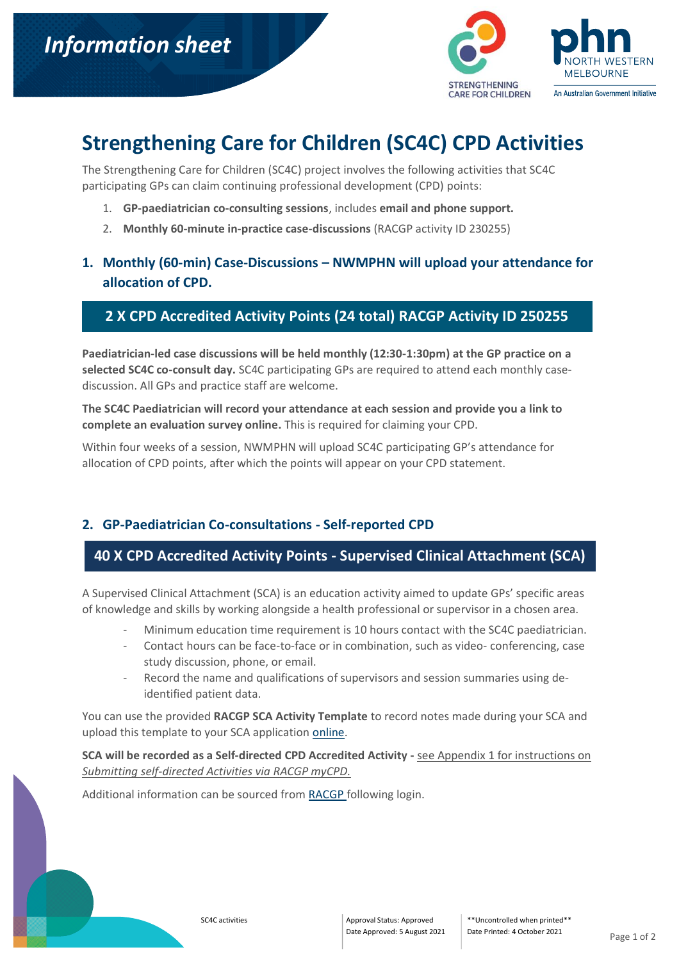

# **Strengthening Care for Children (SC4C) CPD Activities**

The Strengthening Care for Children (SC4C) project involves the following activities that SC4C participating GPs can claim continuing professional development (CPD) points:

- 1. **GP-paediatrician co-consulting sessions**, includes **email and phone support.**
- 2. **Monthly 60-minute in-practice case-discussions** (RACGP activity ID 230255)

## **1. Monthly (60-min) Case-Discussions – NWMPHN will upload your attendance for allocation of CPD.**

#### **2 X CPD Accredited Activity Points (24 total) RACGP Activity ID 250255**

**Paediatrician-led case discussions will be held monthly (12:30-1:30pm) at the GP practice on a selected SC4C co-consult day.** SC4C participating GPs are required to attend each monthly casediscussion. All GPs and practice staff are welcome.

**The SC4C Paediatrician will record your attendance at each session and provide you a link to complete an evaluation survey online.** This is required for claiming your CPD.

Within four weeks of a session, NWMPHN will upload SC4C participating GP's attendance for allocation of CPD points, after which the points will appear on your CPD statement.

#### **2. GP-Paediatrician Co-consultations - Self-reported CPD**

### **40 X CPD Accredited Activity Points - Supervised Clinical Attachment (SCA)**

A Supervised Clinical Attachment (SCA) is an education activity aimed to update GPs' specific areas of knowledge and skills by working alongside a health professional or supervisor in a chosen area.

- Minimum education time requirement is 10 hours contact with the SC4C paediatrician.
- Contact hours can be face-to-face or in combination, such as video- conferencing, case study discussion, phone, or email.
- Record the name and qualifications of supervisors and session summaries using deidentified patient data.

You can use the provided **RACGP SCA Activity Template** to record notes made during your SCA and upload this template to your SCA application [online.](https://www.racgp.org.au/login)

**SCA will be recorded as a Self-directed CPD Accredited Activity -** see Appendix 1 for instructions on *Submitting self-directed Activities via RACGP myCPD.*

Additional information can be sourced from [RACGP f](https://www.racgp.org.au/education/professional-development/qi-cpd/2022-triennium)ollowing login.